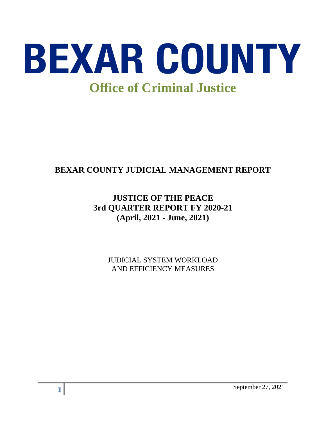

# **BEXAR COUNTY JUDICIAL MANAGEMENT REPORT**

# **JUSTICE OF THE PEACE 3rd QUARTER REPORT FY 2020-21 (April, 2021 - June, 2021)**

JUDICIAL SYSTEM WORKLOAD AND EFFICIENCY MEASURES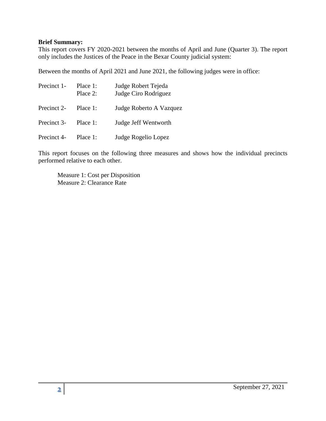#### **Brief Summary:**

This report covers FY 2020-2021 between the months of April and June (Quarter 3). The report only includes the Justices of the Peace in the Bexar County judicial system:

Between the months of April 2021 and June 2021, the following judges were in office:

| Precinct 1- | Place 1:<br>Place $2$ : | Judge Robert Tejeda<br>Judge Ciro Rodriguez |  |
|-------------|-------------------------|---------------------------------------------|--|
| Precinct 2- | Place 1:                | Judge Roberto A Vazquez                     |  |
| Precinct 3- | Place 1:                | Judge Jeff Wentworth                        |  |
| Precinct 4- | Place 1:                | Judge Rogelio Lopez                         |  |

This report focuses on the following three measures and shows how the individual precincts performed relative to each other.

Measure 1: Cost per Disposition Measure 2: Clearance Rate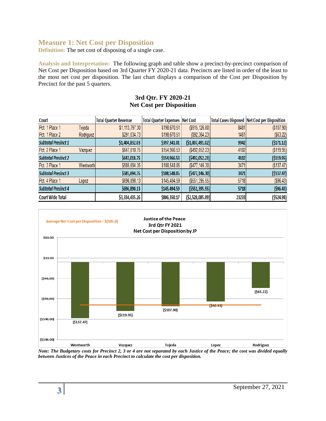## **Measure 1: Net Cost per Disposition**

**Definition:** The net cost of disposing of a single case.

**Analysis and Interpretation:** The following graph and table show a precinct-by-precinct comparison of Net Cost per Disposition based on 3rd Quarter FY 2020-21 data. Precincts are listed in order of the least to the most net cost per disposition. The last chart displays a comparison of the Cost per Disposition by Precinct for the past 5 quarters.

#### **3rd Qtr. FY 2020-21 Net Cost per Disposition**

| <b>Court</b>               |           | <b>Total Quarter Revenue</b> | <b>Total Quarter Expenses Net Cost</b> |                       |       | <b>Total Cases Disposed   Net Cost per Disposition</b> |
|----------------------------|-----------|------------------------------|----------------------------------------|-----------------------|-------|--------------------------------------------------------|
| Pct. 1 Place 1             | Tejeda    | \$1,113,797.30               | \$198,670.51                           | $($ \$915,126.80) $ $ | 8481  | (\$107.90)                                             |
| Pct. 1 Place 2             | Rodriguez | \$291,034.73                 | \$198,670.51                           | $($ \$92,364.23 $) $  | 1461  | $($ \$63.22)                                           |
| <b>Subtotal Precinct 1</b> |           | \$1,404,832.03               | \$397,341.01                           | ( \$1,007,491.02]     | 9942  | ( \$171.12)                                            |
| Pct. 2 Place 1             | Vazquez   | \$647,018.75                 | \$154,966.53                           | $($ \$492,052.23) $ $ | 4102  | $($ \$119.95)                                          |
| <b>Subtotal Precinct 2</b> |           | \$647,018.75                 | \$154,966.53                           | (5492, 052.23)        | 4102  | ( \$119.95)                                            |
| Pct. 3 Place 1             | Wentworth | \$585,694.35                 | \$108,548.05                           | ( \$477, 146.30)      | 3471  | ( \$137.47)                                            |
| <b>Subtotal Precinct 3</b> |           | \$585,694.35                 | \$108,548.05                           | (5477, 146.30)        | 3471  | (\$137.47)                                             |
| Pct. 4 Place 1             | Lopez     | \$696,890.13                 | \$145,494.59                           | ( \$551, 395.55)      | 5718  | ( \$96.43)                                             |
| <b>Subtotal Precinct 4</b> |           | \$696,890.13                 | \$145,494.59                           | ( \$551, 395.55)      | 5718  | ( \$96.43)                                             |
| <b>Court Wide Total</b>    |           | \$3,334,435.26               | \$806,350.17                           | ( \$2,528,085.09)     | 23233 | ( \$524.98)                                            |



*Note: The Budgetary costs for Precinct 2, 3 or 4 are not separated by each Justice of the Peace; the cost was divided equally between Justices of the Peace in each Precinct to calculate the cost per disposition.*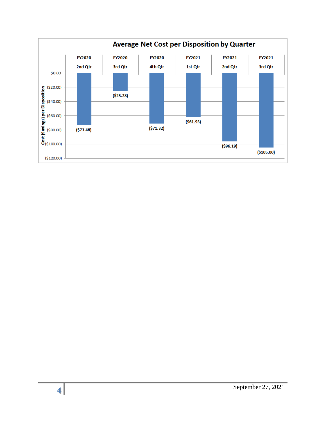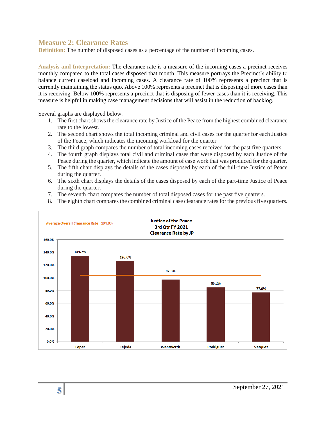### **Measure 2: Clearance Rates**

**Definition:** The number of disposed cases as a percentage of the number of incoming cases.

**Analysis and Interpretation:** The clearance rate is a measure of the incoming cases a precinct receives monthly compared to the total cases disposed that month. This measure portrays the Precinct's ability to balance current caseload and incoming cases. A clearance rate of 100% represents a precinct that is currently maintaining the status quo. Above 100% represents a precinct that is disposing of more cases than it is receiving. Below 100% represents a precinct that is disposing of fewer cases than it is receiving. This measure is helpful in making case management decisions that will assist in the reduction of backlog.

Several graphs are displayed below.

- 1. The first chart shows the clearance rate by Justice of the Peace from the highest combined clearance rate to the lowest.
- 2. The second chart shows the total incoming criminal and civil cases for the quarter for each Justice of the Peace, which indicates the incoming workload for the quarter
- 3. The third graph compares the number of total incoming cases received for the past five quarters.
- 4. The fourth graph displays total civil and criminal cases that were disposed by each Justice of the Peace during the quarter, which indicate the amount of case work that was produced for the quarter.
- 5. The fifth chart displays the details of the cases disposed by each of the full-time Justice of Peace during the quarter.
- 6. The sixth chart displays the details of the cases disposed by each of the part-time Justice of Peace during the quarter.
- 7. The seventh chart compares the number of total disposed cases for the past five quarters.
- 8. The eighth chart compares the combined criminal case clearance rates for the previous five quarters.

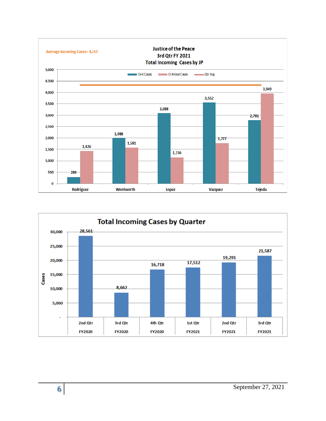

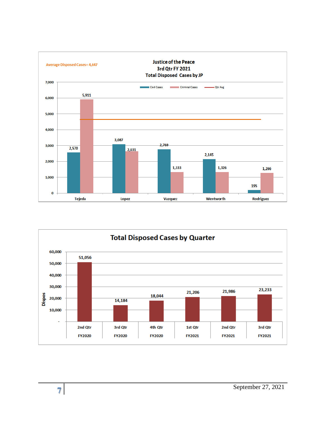

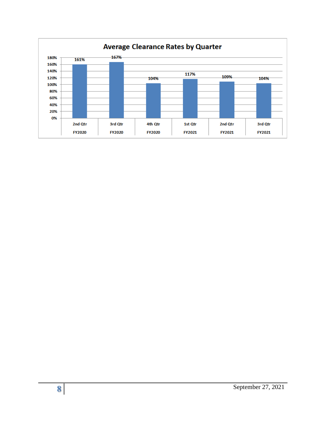